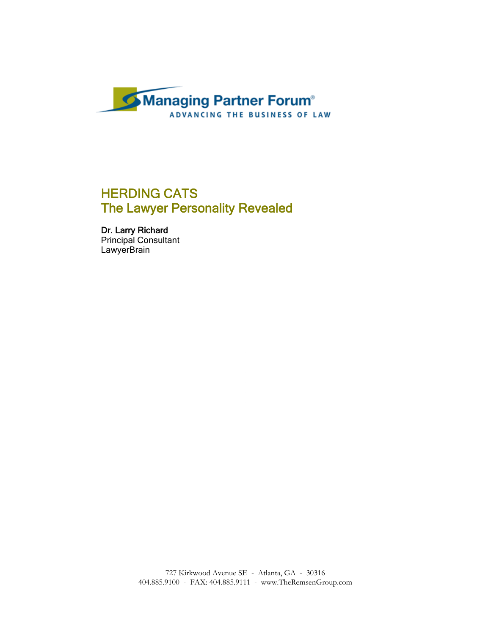

# HERDING CATS The Lawyer Personality Revealed

Dr. Larry Richard Principal Consultant **LawyerBrain**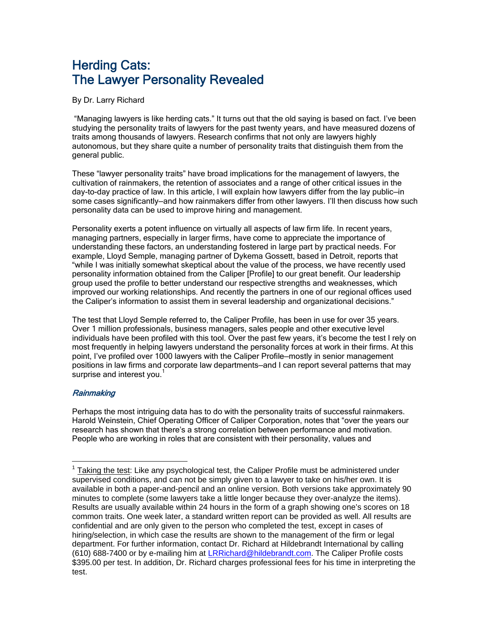# Herding Cats: The Lawyer Personality Revealed

By Dr. Larry Richard

 "Managing lawyers is like herding cats." It turns out that the old saying is based on fact. I've been studying the personality traits of lawyers for the past twenty years, and have measured dozens of traits among thousands of lawyers. Research confirms that not only are lawyers highly autonomous, but they share quite a number of personality traits that distinguish them from the general public.

These "lawyer personality traits" have broad implications for the management of lawyers, the cultivation of rainmakers, the retention of associates and a range of other critical issues in the day-to-day practice of law. In this article, I will explain how lawyers differ from the lay public—in some cases significantly—and how rainmakers differ from other lawyers. I'll then discuss how such personality data can be used to improve hiring and management.

Personality exerts a potent influence on virtually all aspects of law firm life. In recent years, managing partners, especially in larger firms, have come to appreciate the importance of understanding these factors, an understanding fostered in large part by practical needs. For example, Lloyd Semple, managing partner of Dykema Gossett, based in Detroit, reports that "while I was initially somewhat skeptical about the value of the process, we have recently used personality information obtained from the Caliper [Profile] to our great benefit. Our leadership group used the profile to better understand our respective strengths and weaknesses, which improved our working relationships. And recently the partners in one of our regional offices used the Caliper's information to assist them in several leadership and organizational decisions."

The test that Lloyd Semple referred to, the Caliper Profile, has been in use for over 35 years. Over 1 million professionals, business managers, sales people and other executive level individuals have been profiled with this tool. Over the past few years, it's become the test I rely on most frequently in helping lawyers understand the personality forces at work in their firms. At this point, I've profiled over 1000 lawyers with the Caliper Profile—mostly in senior management positions in law firms and corporate law departments—and I can report several patterns that may surprise and interest you. $<sup>1</sup>$ </sup>

# **Rainmaking**

 $\overline{a}$ 

Perhaps the most intriguing data has to do with the personality traits of successful rainmakers. Harold Weinstein, Chief Operating Officer of Caliper Corporation, notes that "over the years our research has shown that there's a strong correlation between performance and motivation. People who are working in roles that are consistent with their personality, values and

 $1$  Taking the test: Like any psychological test, the Caliper Profile must be administered under supervised conditions, and can not be simply given to a lawyer to take on his/her own. It is available in both a paper-and-pencil and an online version. Both versions take approximately 90 minutes to complete (some lawyers take a little longer because they over-analyze the items). Results are usually available within 24 hours in the form of a graph showing one's scores on 18 common traits. One week later, a standard written report can be provided as well. All results are confidential and are only given to the person who completed the test, except in cases of hiring/selection, in which case the results are shown to the management of the firm or legal department. For further information, contact Dr. Richard at Hildebrandt International by calling (610) 688-7400 or by e-mailing him at LRRichard@hildebrandt.com. The Caliper Profile costs \$395.00 per test. In addition, Dr. Richard charges professional fees for his time in interpreting the test.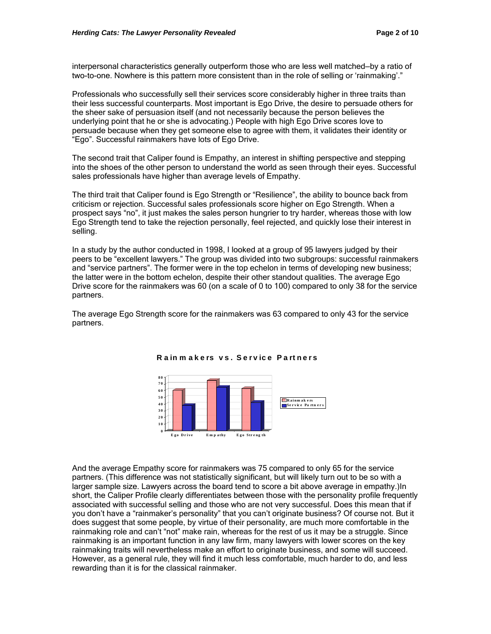interpersonal characteristics generally outperform those who are less well matched—by a ratio of two-to-one. Nowhere is this pattern more consistent than in the role of selling or 'rainmaking'."

Professionals who successfully sell their services score considerably higher in three traits than their less successful counterparts. Most important is Ego Drive, the desire to persuade others for the sheer sake of persuasion itself (and not necessarily because the person believes the underlying point that he or she is advocating.) People with high Ego Drive scores love to persuade because when they get someone else to agree with them, it validates their identity or "Ego". Successful rainmakers have lots of Ego Drive.

The second trait that Caliper found is Empathy, an interest in shifting perspective and stepping into the shoes of the other person to understand the world as seen through their eyes. Successful sales professionals have higher than average levels of Empathy.

The third trait that Caliper found is Ego Strength or "Resilience", the ability to bounce back from criticism or rejection. Successful sales professionals score higher on Ego Strength. When a prospect says "no", it just makes the sales person hungrier to try harder, whereas those with low Ego Strength tend to take the rejection personally, feel rejected, and quickly lose their interest in selling.

In a study by the author conducted in 1998, I looked at a group of 95 lawyers judged by their peers to be "excellent lawyers." The group was divided into two subgroups: successful rainmakers and "service partners". The former were in the top echelon in terms of developing new business; the latter were in the bottom echelon, despite their other standout qualities. The average Ego Drive score for the rainmakers was 60 (on a scale of 0 to 100) compared to only 38 for the service partners.

The average Ego Strength score for the rainmakers was 63 compared to only 43 for the service partners.



#### **R a in m a k e rs v s . S e rv ic e P a rt ne rs**

And the average Empathy score for rainmakers was 75 compared to only 65 for the service partners. (This difference was not statistically significant, but will likely turn out to be so with a larger sample size. Lawyers across the board tend to score a bit above average in empathy.)In short, the Caliper Profile clearly differentiates between those with the personality profile frequently associated with successful selling and those who are not very successful. Does this mean that if you don't have a "rainmaker's personality" that you can't originate business? Of course not. But it does suggest that some people, by virtue of their personality, are much more comfortable in the rainmaking role and can't "not" make rain, whereas for the rest of us it may be a struggle. Since rainmaking is an important function in any law firm, many lawyers with lower scores on the key rainmaking traits will nevertheless make an effort to originate business, and some will succeed. However, as a general rule, they will find it much less comfortable, much harder to do, and less rewarding than it is for the classical rainmaker.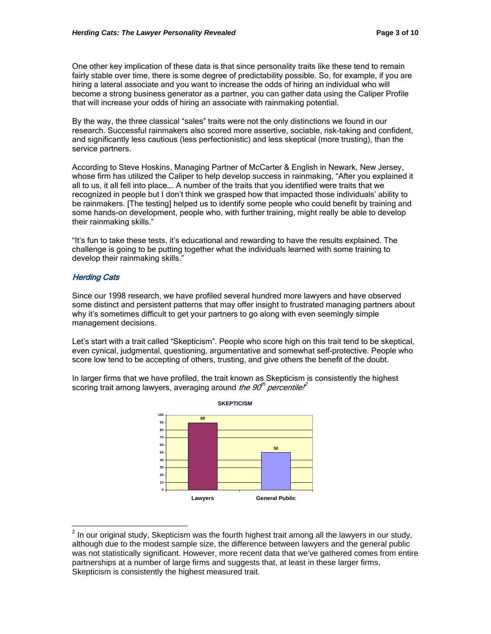One other key implication of these data is that since personality traits like these tend to remain fairly stable over time, there is some degree of predictability possible. So, for example, if you are hiring a lateral associate and you want to increase the odds of hiring an individual who will become a strong business generator as a partner, you can gather data using the Caliper Profile that will increase your odds of hiring an associate with rainmaking potential.

By the way, the three classical "sales" traits were not the only distinctions we found in our research. Successful rainmakers also scored more assertive, sociable, risk-taking and confident, and significantly less cautious (less perfectionistic) and less skeptical (more trusting), than the service partners.

According to Steve Hoskins, Managing Partner of McCarter & English in Newark, New Jersey, whose firm has utilized the Caliper to help develop success in rainmaking, "After you explained it all to us, it all fell into place…. A number of the traits that you identified were traits that we recognized in people but I don't think we grasped how that impacted those individuals' ability to be rainmakers. [The testing] helped us to identify some people who could benefit by training and some hands-on development, people who, with further training, might really be able to develop their rainmaking skills."

"It's fun to take these tests, it's educational and rewarding to have the results explained. The challenge is going to be putting together what the individuals learned with some training to develop their rainmaking skills."

# **Herding Cats**

Since our 1998 research, we have profiled several hundred more lawyers and have observed some distinct and persistent patterns that may offer insight to frustrated managing partners about why it's sometimes difficult to get your partners to go along with even seemingly simple management decisions.

Let's start with a trait called "Skepticism". People who score high on this trait tend to be skeptical, even cynical, judgmental, questioning, argumentative and somewhat self-protective. People who score low tend to be accepting of others, trusting, and give others the benefit of the doubt.

In larger firms that we have profiled, the trait known as Skepticism is consistently the highest scoring trait among lawyers, averaging around the  $90<sup>th</sup>$  percentile.<sup>2</sup>



 2 In our original study, Skepticism was the fourth highest trait among all the lawyers in our study, although due to the modest sample size, the difference between lawyers and the general public was not statistically significant. However, more recent data that we've gathered comes from entire partnerships at a number of large firms and suggests that, at least in these larger firms, Skepticism is consistently the highest measured trait.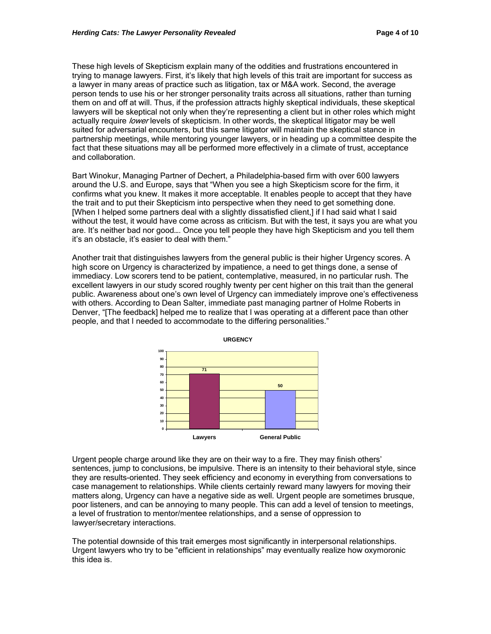These high levels of Skepticism explain many of the oddities and frustrations encountered in trying to manage lawyers. First, it's likely that high levels of this trait are important for success as a lawyer in many areas of practice such as litigation, tax or M&A work. Second, the average person tends to use his or her stronger personality traits across all situations, rather than turning them on and off at will. Thus, if the profession attracts highly skeptical individuals, these skeptical lawyers will be skeptical not only when they're representing a client but in other roles which might actually require lower levels of skepticism. In other words, the skeptical litigator may be well suited for adversarial encounters, but this same litigator will maintain the skeptical stance in partnership meetings, while mentoring younger lawyers, or in heading up a committee despite the fact that these situations may all be performed more effectively in a climate of trust, acceptance and collaboration.

Bart Winokur, Managing Partner of Dechert, a Philadelphia-based firm with over 600 lawyers around the U.S. and Europe, says that "When you see a high Skepticism score for the firm, it confirms what you knew. It makes it more acceptable. It enables people to accept that they have the trait and to put their Skepticism into perspective when they need to get something done. [When I helped some partners deal with a slightly dissatisfied client,] if I had said what I said without the test, it would have come across as criticism. But with the test, it says you are what you are. It's neither bad nor good…. Once you tell people they have high Skepticism and you tell them it's an obstacle, it's easier to deal with them."

Another trait that distinguishes lawyers from the general public is their higher Urgency scores. A high score on Urgency is characterized by impatience, a need to get things done, a sense of immediacy. Low scorers tend to be patient, contemplative, measured, in no particular rush. The excellent lawyers in our study scored roughly twenty per cent higher on this trait than the general public. Awareness about one's own level of Urgency can immediately improve one's effectiveness with others. According to Dean Salter, immediate past managing partner of Holme Roberts in Denver, "[The feedback] helped me to realize that I was operating at a different pace than other people, and that I needed to accommodate to the differing personalities."



Urgent people charge around like they are on their way to a fire. They may finish others' sentences, jump to conclusions, be impulsive. There is an intensity to their behavioral style, since they are results-oriented. They seek efficiency and economy in everything from conversations to case management to relationships. While clients certainly reward many lawyers for moving their matters along, Urgency can have a negative side as well. Urgent people are sometimes brusque, poor listeners, and can be annoying to many people. This can add a level of tension to meetings, a level of frustration to mentor/mentee relationships, and a sense of oppression to lawyer/secretary interactions.

The potential downside of this trait emerges most significantly in interpersonal relationships. Urgent lawyers who try to be "efficient in relationships" may eventually realize how oxymoronic this idea is.

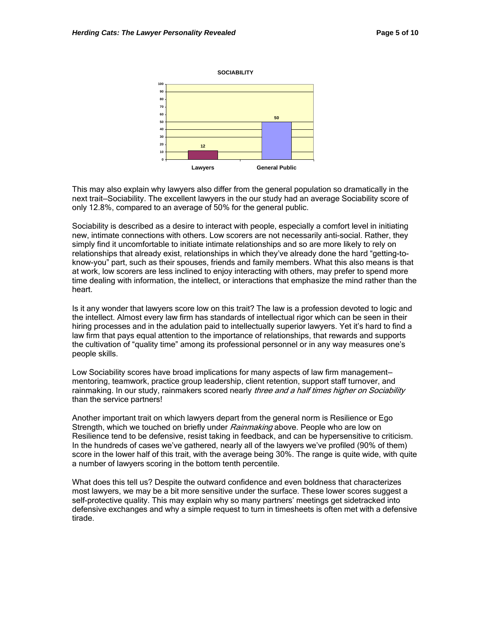#### **SOCIABILITY**



This may also explain why lawyers also differ from the general population so dramatically in the next trait—Sociability. The excellent lawyers in the our study had an average Sociability score of only 12.8%, compared to an average of 50% for the general public.

Sociability is described as a desire to interact with people, especially a comfort level in initiating new, intimate connections with others. Low scorers are not necessarily anti-social. Rather, they simply find it uncomfortable to initiate intimate relationships and so are more likely to rely on relationships that already exist, relationships in which they've already done the hard "getting-toknow-you" part, such as their spouses, friends and family members. What this also means is that at work, low scorers are less inclined to enjoy interacting with others, may prefer to spend more time dealing with information, the intellect, or interactions that emphasize the mind rather than the heart.

Is it any wonder that lawyers score low on this trait? The law is a profession devoted to logic and the intellect. Almost every law firm has standards of intellectual rigor which can be seen in their hiring processes and in the adulation paid to intellectually superior lawyers. Yet it's hard to find a law firm that pays equal attention to the importance of relationships, that rewards and supports the cultivation of "quality time" among its professional personnel or in any way measures one's people skills.

Low Sociability scores have broad implications for many aspects of law firm management mentoring, teamwork, practice group leadership, client retention, support staff turnover, and rainmaking. In our study, rainmakers scored nearly *three and a half times higher on Sociability* than the service partners!

Another important trait on which lawyers depart from the general norm is Resilience or Ego Strength, which we touched on briefly under Rainmaking above. People who are low on Resilience tend to be defensive, resist taking in feedback, and can be hypersensitive to criticism. In the hundreds of cases we've gathered, nearly all of the lawyers we've profiled (90% of them) score in the lower half of this trait, with the average being 30%. The range is quite wide, with quite a number of lawyers scoring in the bottom tenth percentile.

What does this tell us? Despite the outward confidence and even boldness that characterizes most lawyers, we may be a bit more sensitive under the surface. These lower scores suggest a self-protective quality. This may explain why so many partners' meetings get sidetracked into defensive exchanges and why a simple request to turn in timesheets is often met with a defensive tirade.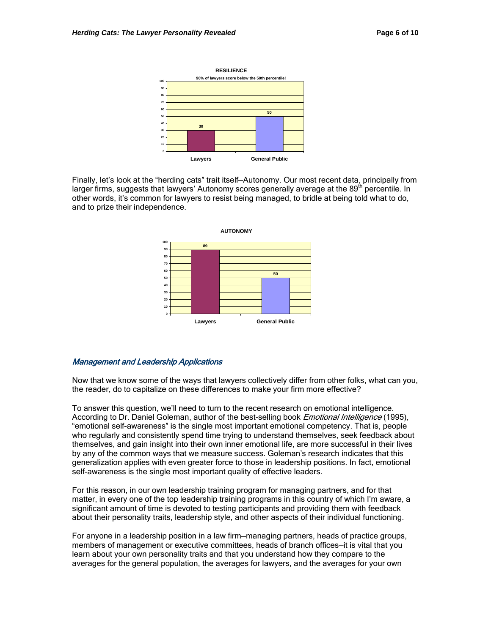

Finally, let's look at the "herding cats" trait itself—Autonomy. Our most recent data, principally from larger firms, suggests that lawyers' Autonomy scores generally average at the 89<sup>th</sup> percentile. In other words, it's common for lawyers to resist being managed, to bridle at being told what to do, and to prize their independence.



### Management and Leadership Applications

Now that we know some of the ways that lawyers collectively differ from other folks, what can you, the reader, do to capitalize on these differences to make your firm more effective?

To answer this question, we'll need to turn to the recent research on emotional intelligence. According to Dr. Daniel Goleman, author of the best-selling book *Emotional Intelligence* (1995), "emotional self-awareness" is the single most important emotional competency. That is, people who regularly and consistently spend time trying to understand themselves, seek feedback about themselves, and gain insight into their own inner emotional life, are more successful in their lives by any of the common ways that we measure success. Goleman's research indicates that this generalization applies with even greater force to those in leadership positions. In fact, emotional self-awareness is the single most important quality of effective leaders.

For this reason, in our own leadership training program for managing partners, and for that matter, in every one of the top leadership training programs in this country of which I'm aware, a significant amount of time is devoted to testing participants and providing them with feedback about their personality traits, leadership style, and other aspects of their individual functioning.

For anyone in a leadership position in a law firm—managing partners, heads of practice groups, members of management or executive committees, heads of branch offices—it is vital that you learn about your own personality traits and that you understand how they compare to the averages for the general population, the averages for lawyers, and the averages for your own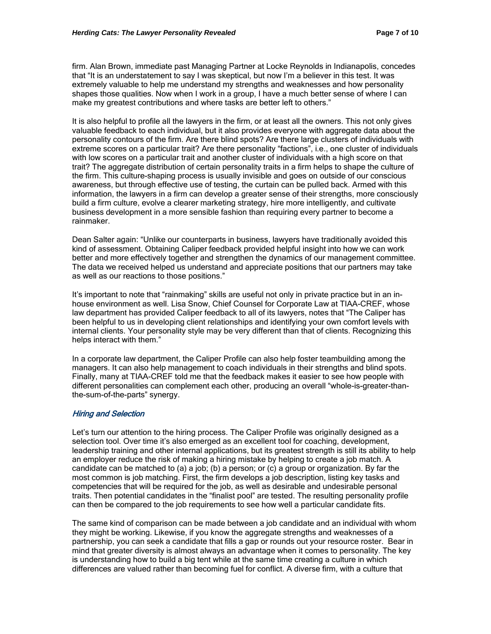firm. Alan Brown, immediate past Managing Partner at Locke Reynolds in Indianapolis, concedes that "It is an understatement to say I was skeptical, but now I'm a believer in this test. It was extremely valuable to help me understand my strengths and weaknesses and how personality shapes those qualities. Now when I work in a group, I have a much better sense of where I can make my greatest contributions and where tasks are better left to others."

It is also helpful to profile all the lawyers in the firm, or at least all the owners. This not only gives valuable feedback to each individual, but it also provides everyone with aggregate data about the personality contours of the firm. Are there blind spots? Are there large clusters of individuals with extreme scores on a particular trait? Are there personality "factions", i.e., one cluster of individuals with low scores on a particular trait and another cluster of individuals with a high score on that trait? The aggregate distribution of certain personality traits in a firm helps to shape the culture of the firm. This culture-shaping process is usually invisible and goes on outside of our conscious awareness, but through effective use of testing, the curtain can be pulled back. Armed with this information, the lawyers in a firm can develop a greater sense of their strengths, more consciously build a firm culture, evolve a clearer marketing strategy, hire more intelligently, and cultivate business development in a more sensible fashion than requiring every partner to become a rainmaker.

Dean Salter again: "Unlike our counterparts in business, lawyers have traditionally avoided this kind of assessment. Obtaining Caliper feedback provided helpful insight into how we can work better and more effectively together and strengthen the dynamics of our management committee. The data we received helped us understand and appreciate positions that our partners may take as well as our reactions to those positions."

It's important to note that "rainmaking" skills are useful not only in private practice but in an inhouse environment as well. Lisa Snow, Chief Counsel for Corporate Law at TIAA-CREF, whose law department has provided Caliper feedback to all of its lawyers, notes that "The Caliper has been helpful to us in developing client relationships and identifying your own comfort levels with internal clients. Your personality style may be very different than that of clients. Recognizing this helps interact with them."

In a corporate law department, the Caliper Profile can also help foster teambuilding among the managers. It can also help management to coach individuals in their strengths and blind spots. Finally, many at TIAA-CREF told me that the feedback makes it easier to see how people with different personalities can complement each other, producing an overall "whole-is-greater-thanthe-sum-of-the-parts" synergy.

### Hiring and Selection

Let's turn our attention to the hiring process. The Caliper Profile was originally designed as a selection tool. Over time it's also emerged as an excellent tool for coaching, development, leadership training and other internal applications, but its greatest strength is still its ability to help an employer reduce the risk of making a hiring mistake by helping to create a job match. A candidate can be matched to (a) a job; (b) a person; or (c) a group or organization. By far the most common is job matching. First, the firm develops a job description, listing key tasks and competencies that will be required for the job, as well as desirable and undesirable personal traits. Then potential candidates in the "finalist pool" are tested. The resulting personality profile can then be compared to the job requirements to see how well a particular candidate fits.

The same kind of comparison can be made between a job candidate and an individual with whom they might be working. Likewise, if you know the aggregate strengths and weaknesses of a partnership, you can seek a candidate that fills a gap or rounds out your resource roster. Bear in mind that greater diversity is almost always an advantage when it comes to personality. The key is understanding how to build a big tent while at the same time creating a culture in which differences are valued rather than becoming fuel for conflict. A diverse firm, with a culture that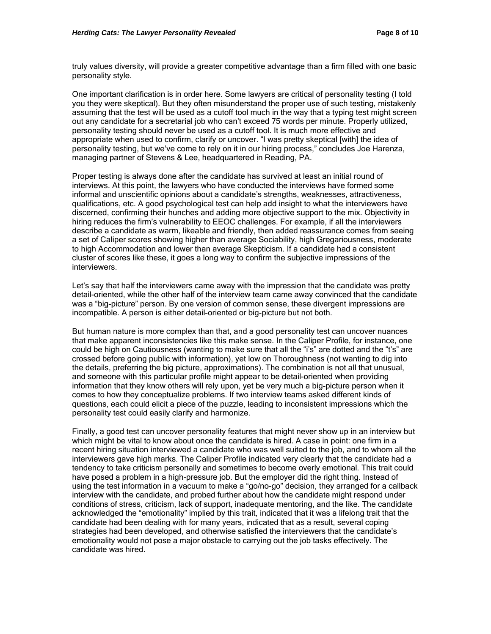truly values diversity, will provide a greater competitive advantage than a firm filled with one basic personality style.

One important clarification is in order here. Some lawyers are critical of personality testing (I told you they were skeptical). But they often misunderstand the proper use of such testing, mistakenly assuming that the test will be used as a cutoff tool much in the way that a typing test might screen out any candidate for a secretarial job who can't exceed 75 words per minute. Properly utilized, personality testing should never be used as a cutoff tool. It is much more effective and appropriate when used to confirm, clarify or uncover. "I was pretty skeptical [with] the idea of personality testing, but we've come to rely on it in our hiring process," concludes Joe Harenza, managing partner of Stevens & Lee, headquartered in Reading, PA.

Proper testing is always done after the candidate has survived at least an initial round of interviews. At this point, the lawyers who have conducted the interviews have formed some informal and unscientific opinions about a candidate's strengths, weaknesses, attractiveness, qualifications, etc. A good psychological test can help add insight to what the interviewers have discerned, confirming their hunches and adding more objective support to the mix. Objectivity in hiring reduces the firm's vulnerability to EEOC challenges. For example, if all the interviewers describe a candidate as warm, likeable and friendly, then added reassurance comes from seeing a set of Caliper scores showing higher than average Sociability, high Gregariousness, moderate to high Accommodation and lower than average Skepticism. If a candidate had a consistent cluster of scores like these, it goes a long way to confirm the subjective impressions of the interviewers.

Let's say that half the interviewers came away with the impression that the candidate was pretty detail-oriented, while the other half of the interview team came away convinced that the candidate was a "big-picture" person. By one version of common sense, these divergent impressions are incompatible. A person is either detail-oriented or big-picture but not both.

But human nature is more complex than that, and a good personality test can uncover nuances that make apparent inconsistencies like this make sense. In the Caliper Profile, for instance, one could be high on Cautiousness (wanting to make sure that all the "i's" are dotted and the "t's" are crossed before going public with information), yet low on Thoroughness (not wanting to dig into the details, preferring the big picture, approximations). The combination is not all that unusual, and someone with this particular profile might appear to be detail-oriented when providing information that they know others will rely upon, yet be very much a big-picture person when it comes to how they conceptualize problems. If two interview teams asked different kinds of questions, each could elicit a piece of the puzzle, leading to inconsistent impressions which the personality test could easily clarify and harmonize.

Finally, a good test can uncover personality features that might never show up in an interview but which might be vital to know about once the candidate is hired. A case in point: one firm in a recent hiring situation interviewed a candidate who was well suited to the job, and to whom all the interviewers gave high marks. The Caliper Profile indicated very clearly that the candidate had a tendency to take criticism personally and sometimes to become overly emotional. This trait could have posed a problem in a high-pressure job. But the employer did the right thing. Instead of using the test information in a vacuum to make a "go/no-go" decision, they arranged for a callback interview with the candidate, and probed further about how the candidate might respond under conditions of stress, criticism, lack of support, inadequate mentoring, and the like. The candidate acknowledged the "emotionality" implied by this trait, indicated that it was a lifelong trait that the candidate had been dealing with for many years, indicated that as a result, several coping strategies had been developed, and otherwise satisfied the interviewers that the candidate's emotionality would not pose a major obstacle to carrying out the job tasks effectively. The candidate was hired.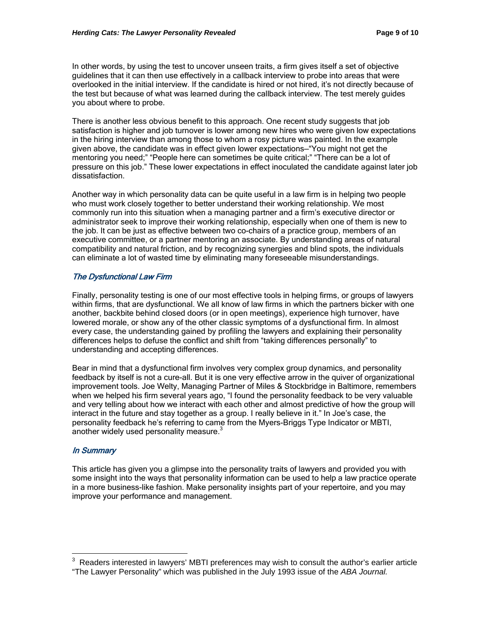In other words, by using the test to uncover unseen traits, a firm gives itself a set of objective guidelines that it can then use effectively in a callback interview to probe into areas that were overlooked in the initial interview. If the candidate is hired or not hired, it's not directly because of the test but because of what was learned during the callback interview. The test merely guides you about where to probe.

There is another less obvious benefit to this approach. One recent study suggests that job satisfaction is higher and job turnover is lower among new hires who were given low expectations in the hiring interview than among those to whom a rosy picture was painted. In the example given above, the candidate was in effect given lower expectations—"You might not get the mentoring you need;" "People here can sometimes be quite critical;" "There can be a lot of pressure on this job." These lower expectations in effect inoculated the candidate against later job dissatisfaction.

Another way in which personality data can be quite useful in a law firm is in helping two people who must work closely together to better understand their working relationship. We most commonly run into this situation when a managing partner and a firm's executive director or administrator seek to improve their working relationship, especially when one of them is new to the job. It can be just as effective between two co-chairs of a practice group, members of an executive committee, or a partner mentoring an associate. By understanding areas of natural compatibility and natural friction, and by recognizing synergies and blind spots, the individuals can eliminate a lot of wasted time by eliminating many foreseeable misunderstandings.

# The Dysfunctional Law Firm

Finally, personality testing is one of our most effective tools in helping firms, or groups of lawyers within firms, that are dysfunctional. We all know of law firms in which the partners bicker with one another, backbite behind closed doors (or in open meetings), experience high turnover, have lowered morale, or show any of the other classic symptoms of a dysfunctional firm. In almost every case, the understanding gained by profiling the lawyers and explaining their personality differences helps to defuse the conflict and shift from "taking differences personally" to understanding and accepting differences.

Bear in mind that a dysfunctional firm involves very complex group dynamics, and personality feedback by itself is not a cure-all. But it is one very effective arrow in the quiver of organizational improvement tools. Joe Welty, Managing Partner of Miles & Stockbridge in Baltimore, remembers when we helped his firm several years ago, "I found the personality feedback to be very valuable and very telling about how we interact with each other and almost predictive of how the group will interact in the future and stay together as a group. I really believe in it." In Joe's case, the personality feedback he's referring to came from the Myers-Briggs Type Indicator or MBTI, another widely used personality measure.<sup>3</sup>

# In Summary

 $\overline{a}$ 

This article has given you a glimpse into the personality traits of lawyers and provided you with some insight into the ways that personality information can be used to help a law practice operate in a more business-like fashion. Make personality insights part of your repertoire, and you may improve your performance and management.

<sup>3</sup> Readers interested in lawyers' MBTI preferences may wish to consult the author's earlier article "The Lawyer Personality" which was published in the July 1993 issue of the *ABA Journal.*